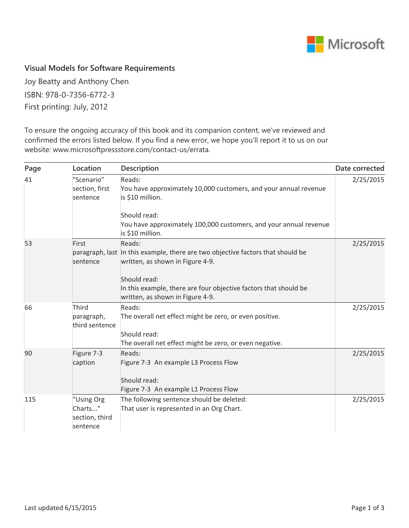

## **Visual Models for Software Requirements**

Joy Beatty and Anthony Chen ISBN: 978-0-7356-6772-3 First printing: July, 2012

To ensure the ongoing accuracy of this book and its companion content, we've reviewed and confirmed the errors listed below. If you find a new error, we hope you'll report it to us on our website: www.microsoftpressstore.com/contact-us/errata.

| Page     | Location                                            | <b>Description</b>                                                                                                            | Date corrected |
|----------|-----------------------------------------------------|-------------------------------------------------------------------------------------------------------------------------------|----------------|
| 41       | "Scenario"<br>section, first<br>sentence            | Reads:<br>You have approximately 10,000 customers, and your annual revenue<br>is \$10 million.                                | 2/25/2015      |
|          |                                                     | Should read:<br>You have approximately 100,000 customers, and your annual revenue<br>is \$10 million.                         |                |
| 53       | First<br>sentence                                   | Reads:<br>paragraph, last In this example, there are two objective factors that should be<br>written, as shown in Figure 4-9. | 2/25/2015      |
|          |                                                     | Should read:<br>In this example, there are four objective factors that should be<br>written, as shown in Figure 4-9.          |                |
| 66<br>90 | Third<br>paragraph,<br>third sentence               | Reads:<br>The overall net effect might be zero, or even positive.<br>Should read:                                             | 2/25/2015      |
|          |                                                     | The overall net effect might be zero, or even negative.                                                                       |                |
|          | Figure 7-3<br>caption                               | Reads:<br>Figure 7-3 An example L3 Process Flow                                                                               | 2/25/2015      |
|          |                                                     | Should read:<br>Figure 7-3 An example L1 Process Flow                                                                         |                |
| 115      | "Using Org<br>Charts"<br>section, third<br>sentence | The following sentence should be deleted:<br>That user is represented in an Org Chart.                                        | 2/25/2015      |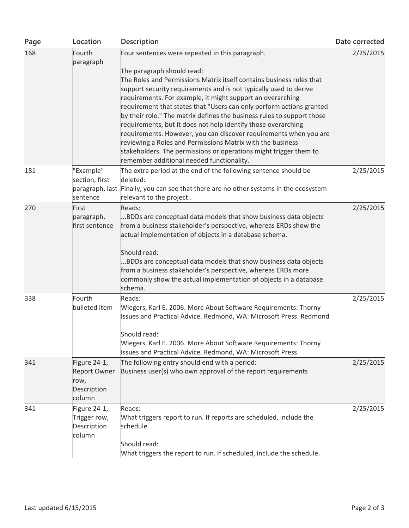| Page | Location                                                             | Description                                                                                                                                                                                                                                                                                                                                                                                                                                                                                                                                                                                                                                                                                                                                                      | Date corrected |
|------|----------------------------------------------------------------------|------------------------------------------------------------------------------------------------------------------------------------------------------------------------------------------------------------------------------------------------------------------------------------------------------------------------------------------------------------------------------------------------------------------------------------------------------------------------------------------------------------------------------------------------------------------------------------------------------------------------------------------------------------------------------------------------------------------------------------------------------------------|----------------|
| 168  | Fourth<br>paragraph                                                  | Four sentences were repeated in this paragraph.<br>The paragraph should read:<br>The Roles and Permissions Matrix itself contains business rules that<br>support security requirements and is not typically used to derive<br>requirements. For example, it might support an overarching<br>requirement that states that "Users can only perform actions granted<br>by their role." The matrix defines the business rules to support those<br>requirements, but it does not help identify those overarching<br>requirements. However, you can discover requirements when you are<br>reviewing a Roles and Permissions Matrix with the business<br>stakeholders. The permissions or operations might trigger them to<br>remember additional needed functionality. | 2/25/2015      |
| 181  | "Example"<br>section, first<br>sentence                              | The extra period at the end of the following sentence should be<br>deleted:<br>paragraph, last Finally, you can see that there are no other systems in the ecosystem<br>relevant to the project                                                                                                                                                                                                                                                                                                                                                                                                                                                                                                                                                                  | 2/25/2015      |
| 270  | First<br>paragraph,<br>first sentence                                | Reads:<br>BDDs are conceptual data models that show business data objects<br>from a business stakeholder's perspective, whereas ERDs show the<br>actual implementation of objects in a database schema.<br>Should read:<br>BDDs are conceptual data models that show business data objects<br>from a business stakeholder's perspective, whereas ERDs more<br>commonly show the actual implementation of objects in a database<br>schema.                                                                                                                                                                                                                                                                                                                        | 2/25/2015      |
| 338  | Fourth<br>bulleted item                                              | Reads:<br>Wiegers, Karl E. 2006. More About Software Requirements: Thorny<br>Issues and Practical Advice. Redmond, WA: Microsoft Press. Redmond<br>Should read:<br>Wiegers, Karl E. 2006. More About Software Requirements: Thorny<br>Issues and Practical Advice. Redmond, WA: Microsoft Press.                                                                                                                                                                                                                                                                                                                                                                                                                                                                 | 2/25/2015      |
| 341  | Figure 24-1,<br><b>Report Owner</b><br>row,<br>Description<br>column | The following entry should end with a period:<br>Business user(s) who own approval of the report requirements                                                                                                                                                                                                                                                                                                                                                                                                                                                                                                                                                                                                                                                    | 2/25/2015      |
| 341  | Figure 24-1,<br>Trigger row,<br>Description<br>column                | Reads:<br>What triggers report to run. If reports are scheduled, include the<br>schedule.<br>Should read:<br>What triggers the report to run. If scheduled, include the schedule.                                                                                                                                                                                                                                                                                                                                                                                                                                                                                                                                                                                | 2/25/2015      |